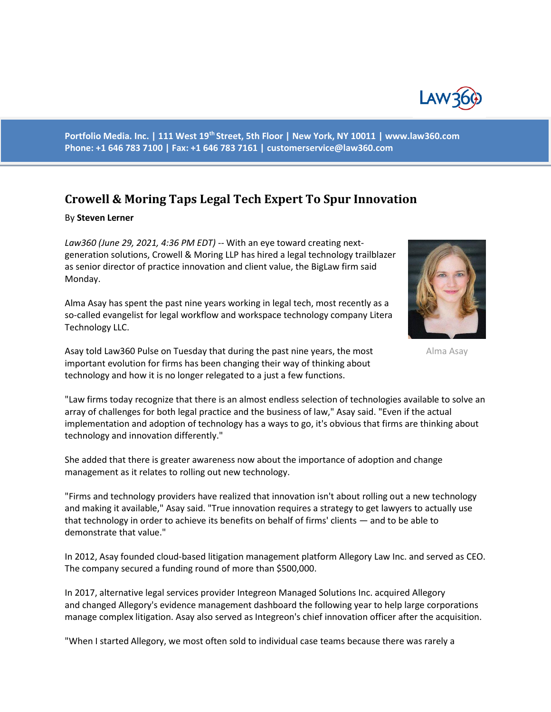

**Portfolio Media. Inc. | 111 West 19th Street, 5th Floor | New York, NY 10011 | www.law360.com Phone: +1 646 783 7100 | Fax: +1 646 783 7161 | customerservice@law360.com**

## **Crowell & Moring Taps Legal Tech Expert To Spur Innovation**

## By **Steven Lerner**

*Law360 (June 29, 2021, 4:36 PM EDT)* -- With an eye toward creating nextgeneration solutions, Crowell & Moring LLP has hired a legal technology trailblazer as senior director of practice innovation and client value, the BigLaw firm said Monday.

Alma Asay has spent the past nine years working in legal tech, most recently as a so-called evangelist for legal workflow and workspace technology company Litera Technology LLC.



Alma Asay

Asay told Law360 Pulse on Tuesday that during the past nine years, the most important evolution for firms has been changing their way of thinking about technology and how it is no longer relegated to a just a few functions.

"Law firms today recognize that there is an almost endless selection of technologies available to solve an array of challenges for both legal practice and the business of law," Asay said. "Even if the actual implementation and adoption of technology has a ways to go, it's obvious that firms are thinking about technology and innovation differently."

She added that there is greater awareness now about the importance of adoption and change management as it relates to rolling out new technology.

"Firms and technology providers have realized that innovation isn't about rolling out a new technology and making it available," Asay said. "True innovation requires a strategy to get lawyers to actually use that technology in order to achieve its benefits on behalf of firms' clients — and to be able to demonstrate that value."

In 2012, Asay founded cloud-based litigation management platform Allegory Law Inc. and served as CEO. The company secured a funding round of more than \$500,000.

In 2017, alternative legal services provider Integreon Managed Solutions Inc. acquired Allegory and changed Allegory's evidence management dashboard the following year to help large corporations manage complex litigation. Asay also served as Integreon's chief innovation officer after the acquisition.

"When I started Allegory, we most often sold to individual case teams because there was rarely a